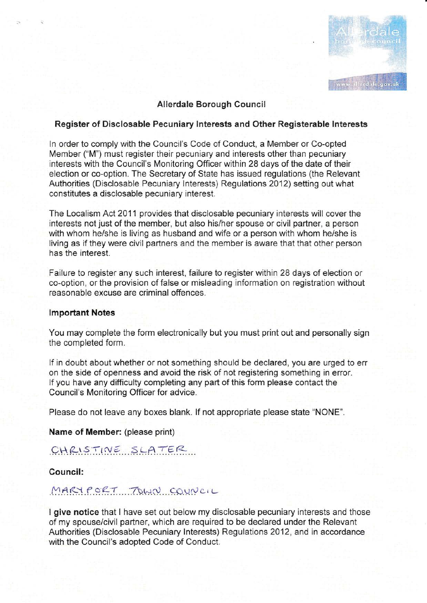

### Alierdale Borough Counci!

### Register of Disclosable Pecuniary lnterests and Othen Reglsterable lnterests

In order to comply with the Council's Code of Conduct, a Member or Co-opted Member {"M") must register their pecuniary and interests other than pecuniary interests with the Council's Monitoring Officer within 28 days of the date of their election or co-option. The Secretary of State has issued regulations (the Relevant Authorities (Disclosable Pecuniary lnterests) Regulations 2012) setting out what constitutes a disclosable pecuniary interest.

The Localism Act 2011 provides that disclosable pecuniary interests will cover the interests not just of the member, but also his/her spouse or civil partner, a person with whom he/she is living as husband and wife or a person with whom he/she is living as if they were civil partners and the member is aware that that other person has the interest.

Failure to register any such interest, faiiure to register within 28 days of election or co-option, or the provision of false or misleading information on registration without reasonable excuse are criminal offences.

#### lmportant Notes

You may complete the form electronically but you must print out and personally sign the completed form.

if in doubt about whether or not something should be declaned, you are urged to err on the side of openness and avoid the risk of not registering something in error. lf you have any difficulty completing any part of this form please contact the Council's Monitoring Officer for advice.

Please do not leave any boxes blank. lf not appropriate please state "NONE".

Name of Member: (please print)

# $CHRIST, NESLATER$

Council:

## MARY PORT TOWN COUNCIL

I give notice that I have set out below my disclosable pecuniary interests and those of my spouse/civil partner, which are required to be declared under the Relevant Authorities (Disclosable Pecuniary lnterests) Regulations 2012, and in accordance with the Council's adopted Code of Conduct.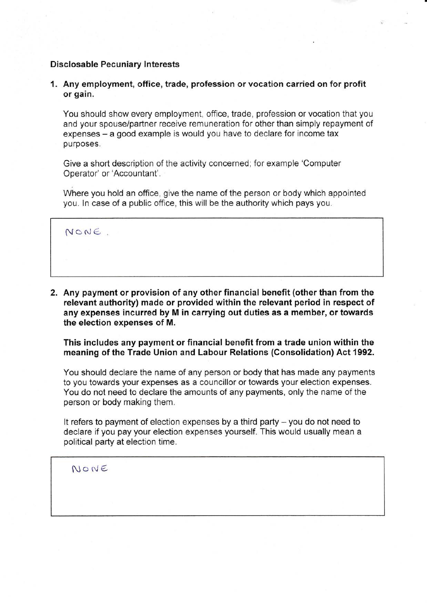### Disclosable Pecuniary lnterests

1. Any employment, office, trade, profession or vocation carried on for profit or gain.

You should show every employment. office, trade, profession or vocation that you and your spouse/partner receive remuneration for other than simply repayment of expenses – a good example is would you have to declare for income tax purposes.

Give a short description of the activity concerned; for example 'Computer Operator' or'Accountant'.

Where you hold an office, give the name of the person or body which appointed you. ln case of a public office, this will be the authority which pays you.

NONE.

2. Any payment or provision of any other financial benefit (other than from the relevant authority) made or provided within the relevant period in respect of any expenses incurred by M in carrying out duties as a member, or towards the election expenses of M.

This includes any payment or financial benefit from a trade union within the meaning of the Trade Union and Labour Relations (Consolidation) Act 1992.

You should declare the name of any person or body that has made any payments to you towards your expenses as a councillor or towards your election expenses. You do not need to declare the amounts of any payments, only the name of the person or body making them.

It refers to payment of election expenses by a third party  $-$  you do not need to declare if you pay your election expenses yourself. This would usually mean a political party at election time.

 $N$ o $N$ E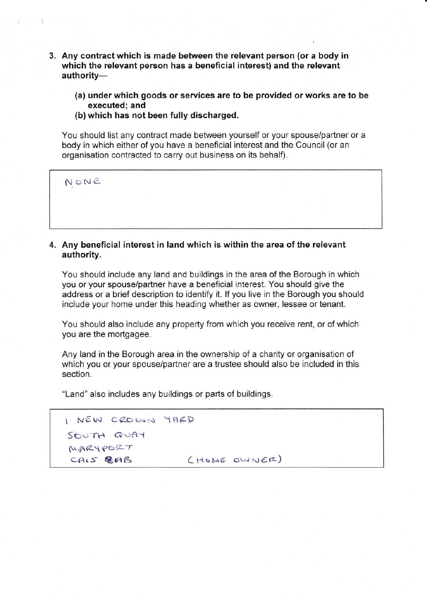- 3. Any contract which is made between the relevant person (or a body in which the relevant person has a beneficial interest) and the relevant authority-
	- (a) under which goods or services are to be provided or works are to be executed; and
	- (b) which has not been fully discharged.

You should list any contract made between yourself or your spouse/partner or a body in which either of you have a beneficial interest and the Council (or an organisation contracted to carry out business on its behalf).

NoNC

### 4. Any beneficial interest in land which is within the area of the relevant authority.

You should include any land and buildings in the area of the Borough in which you or your spouselpartner have a beneficial interest. You should give the address or a brief description to identify it. lf you live in the Borough you should include your home under this heading whether as owner, Iessee or tenant.

You should also include any property from which you receive rent, or of which you are the mortgagee.

Any land in the Borough area in the ownership of a charity or organisation of which you or your spouse/partner are a trustee should also be included in this section.

"Land" also includes any buildings or parts of buildings.

| I NEW CROWN YARD |              |
|------------------|--------------|
| SOUTH QUAY       |              |
| MARYPORT         |              |
| CAIS BEAB        | (HOME OWNER) |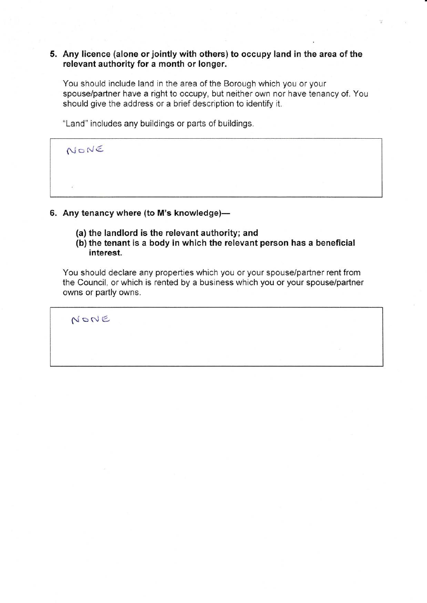### 5. Any licence (alone or jointlywith others) to occupy land in the area of the relevant authority for a month or longer.

You should include land in the area of the Borough which you or your spouse/partner have a right to occupy, but neither own nor have tenancy of. You should give the address or a brief description to identify it.

"Land" includes any buildings or parts of buildings.

 $N$  o NE

- 6. Any tenancy where (to M's knowledge)-
	- (a) the landlord is the relevant authority; and
	- (b) the tenant is a body in which the relevant person has a beneficial interest.

You should declare any properties which you or your spouse/partner rent from the Council, or which is rented by a business which you or your spouse/partner owns or partly owns.

 $N$ o $N$ E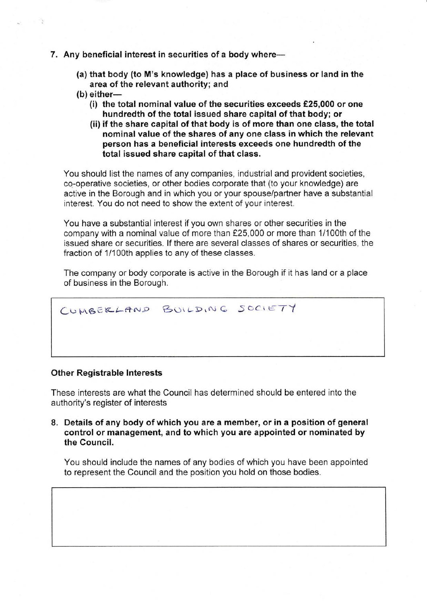- 7. Any beneficial interest in securities of a body where-
	- (a) that body (to M's knowledge) has a place of business or land in the area of the relevant authority; and
	- $(b)$  either-
		- (i) the total nominal value of the securities exceeds £25,000 or one hundredth of the total issued share capital of that body; or
		- (ii) if the share capital of that body is of more than one class, the total nominal value of the shares of any one class in which the relevant person has a beneficial interests exceeds one hundredth of the total issued share capital of that class.

You should list the names of any companies, industrial and provident societies, cq-operative societies, or other bodies corporate that (to your knowledge) are active in the Borough and in which you or your spouse/partner have a substantial interest. You do not need to show the extent of your interest.

You have a substantial interest if you own shares or other securities in the company with a nominal value of more than £25,000 or more than 1/100th of the issued share or securities. lf there are several classes of shares or securities, the fraction of 1/100th applies to any of these classes.

The company or body corporate is active in the Borough if it has land or a place of business in the Borough.

CUMBERLAND BUILDING SOCIETY

### Other Registrable lnterests

These interests are what the Council has determined should be entered into the authority's register of interests

8. Details of any body of which you are a member, or in a position of general control or management, and to which you are appointed or nominated by the Council.

You should include the names of any bodies of which you have been appointed to represent the Council and the position you hold on those bodies.